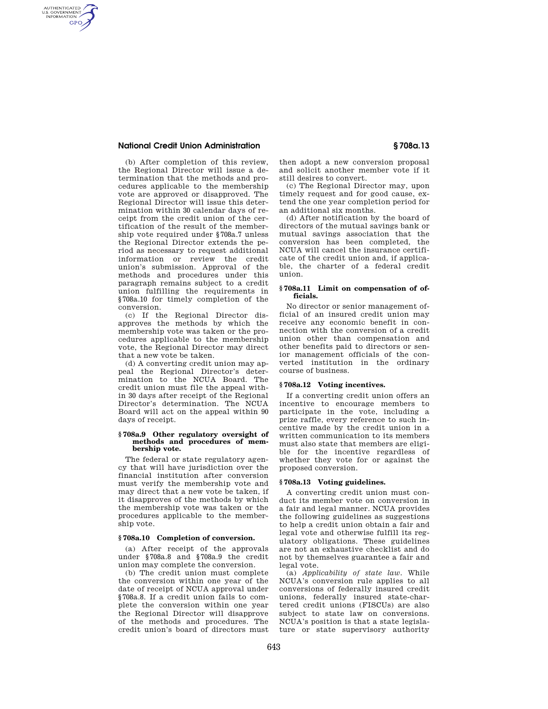## **National Credit Union Administration § 708a.13**

AUTHENTICATED<br>U.S. GOVERNMENT<br>INFORMATION **GPO** 

> (b) After completion of this review, the Regional Director will issue a determination that the methods and procedures applicable to the membership vote are approved or disapproved. The Regional Director will issue this determination within 30 calendar days of receipt from the credit union of the certification of the result of the membership vote required under §708a.7 unless the Regional Director extends the period as necessary to request additional information or review the credit union's submission. Approval of the methods and procedures under this paragraph remains subject to a credit union fulfilling the requirements in §708a.10 for timely completion of the conversion.

> (c) If the Regional Director disapproves the methods by which the membership vote was taken or the procedures applicable to the membership vote, the Regional Director may direct that a new vote be taken.

> (d) A converting credit union may appeal the Regional Director's determination to the NCUA Board. The credit union must file the appeal within 30 days after receipt of the Regional Director's determination. The NCUA Board will act on the appeal within 90 days of receipt.

#### **§ 708a.9 Other regulatory oversight of methods and procedures of membership vote.**

The federal or state regulatory agency that will have jurisdiction over the financial institution after conversion must verify the membership vote and may direct that a new vote be taken, if it disapproves of the methods by which the membership vote was taken or the procedures applicable to the membership vote.

#### **§ 708a.10 Completion of conversion.**

(a) After receipt of the approvals under §708a.8 and §708a.9 the credit union may complete the conversion.

(b) The credit union must complete the conversion within one year of the date of receipt of NCUA approval under §708a.8. If a credit union fails to complete the conversion within one year the Regional Director will disapprove of the methods and procedures. The credit union's board of directors must

then adopt a new conversion proposal and solicit another member vote if it still desires to convert.

(c) The Regional Director may, upon timely request and for good cause, extend the one year completion period for an additional six months.

(d) After notification by the board of directors of the mutual savings bank or mutual savings association that the conversion has been completed, the NCUA will cancel the insurance certificate of the credit union and, if applicable, the charter of a federal credit union.

### **§ 708a.11 Limit on compensation of officials.**

No director or senior management official of an insured credit union may receive any economic benefit in connection with the conversion of a credit union other than compensation and other benefits paid to directors or senior management officials of the converted institution in the ordinary course of business.

### **§ 708a.12 Voting incentives.**

If a converting credit union offers an incentive to encourage members to participate in the vote, including a prize raffle, every reference to such incentive made by the credit union in a written communication to its members must also state that members are eligible for the incentive regardless of whether they vote for or against the proposed conversion.

### **§ 708a.13 Voting guidelines.**

A converting credit union must conduct its member vote on conversion in a fair and legal manner. NCUA provides the following guidelines as suggestions to help a credit union obtain a fair and legal vote and otherwise fulfill its regulatory obligations. These guidelines are not an exhaustive checklist and do not by themselves guarantee a fair and legal vote.

(a) *Applicability of state law.* While NCUA's conversion rule applies to all conversions of federally insured credit unions, federally insured state-chartered credit unions (FISCUs) are also subject to state law on conversions. NCUA's position is that a state legislature or state supervisory authority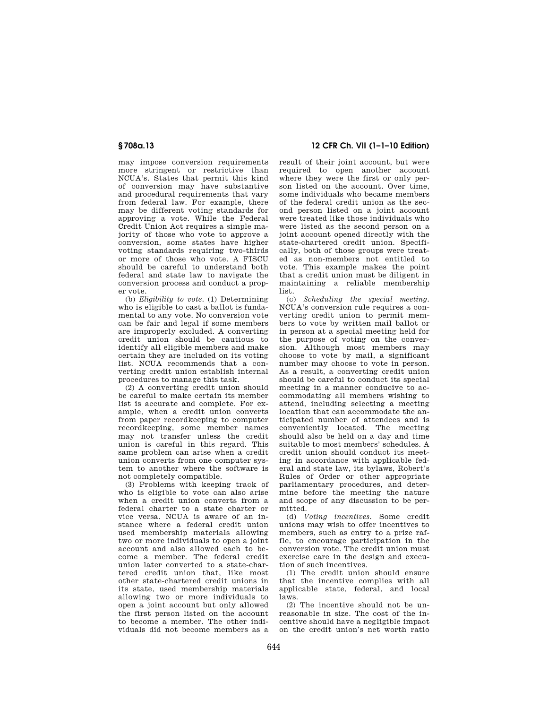may impose conversion requirements more stringent or restrictive than NCUA's. States that permit this kind of conversion may have substantive and procedural requirements that vary from federal law. For example, there may be different voting standards for approving a vote. While the Federal Credit Union Act requires a simple majority of those who vote to approve a conversion, some states have higher voting standards requiring two-thirds or more of those who vote. A FISCU should be careful to understand both federal and state law to navigate the conversion process and conduct a proper vote.

(b) *Eligibility to vote.* (1) Determining who is eligible to cast a ballot is fundamental to any vote. No conversion vote can be fair and legal if some members are improperly excluded. A converting credit union should be cautious to identify all eligible members and make certain they are included on its voting list. NCUA recommends that a converting credit union establish internal procedures to manage this task.

(2) A converting credit union should be careful to make certain its member list is accurate and complete. For example, when a credit union converts from paper recordkeeping to computer recordkeeping, some member names may not transfer unless the credit union is careful in this regard. This same problem can arise when a credit union converts from one computer system to another where the software is not completely compatible.

(3) Problems with keeping track of who is eligible to vote can also arise when a credit union converts from a federal charter to a state charter or vice versa. NCUA is aware of an instance where a federal credit union used membership materials allowing two or more individuals to open a joint account and also allowed each to become a member. The federal credit union later converted to a state-chartered credit union that, like most other state-chartered credit unions in its state, used membership materials allowing two or more individuals to open a joint account but only allowed the first person listed on the account to become a member. The other individuals did not become members as a

# **§ 708a.13 12 CFR Ch. VII (1–1–10 Edition)**

result of their joint account, but were required to open another account where they were the first or only person listed on the account. Over time, some individuals who became members of the federal credit union as the second person listed on a joint account were treated like those individuals who were listed as the second person on a joint account opened directly with the state-chartered credit union. Specifically, both of those groups were treated as non-members not entitled to vote. This example makes the point that a credit union must be diligent in maintaining a reliable membership list.

(c) *Scheduling the special meeting.*  NCUA's conversion rule requires a converting credit union to permit members to vote by written mail ballot or in person at a special meeting held for the purpose of voting on the conversion. Although most members may choose to vote by mail, a significant number may choose to vote in person. As a result, a converting credit union should be careful to conduct its special meeting in a manner conducive to accommodating all members wishing to attend, including selecting a meeting location that can accommodate the anticipated number of attendees and is conveniently located. The meeting should also be held on a day and time suitable to most members' schedules. A credit union should conduct its meeting in accordance with applicable federal and state law, its bylaws, Robert's Rules of Order or other appropriate parliamentary procedures, and determine before the meeting the nature and scope of any discussion to be permitted.

(d) *Voting incentives.* Some credit unions may wish to offer incentives to members, such as entry to a prize raffle, to encourage participation in the conversion vote. The credit union must exercise care in the design and execution of such incentives.

(1) The credit union should ensure that the incentive complies with all applicable state, federal, and local laws.

(2) The incentive should not be unreasonable in size. The cost of the incentive should have a negligible impact on the credit union's net worth ratio